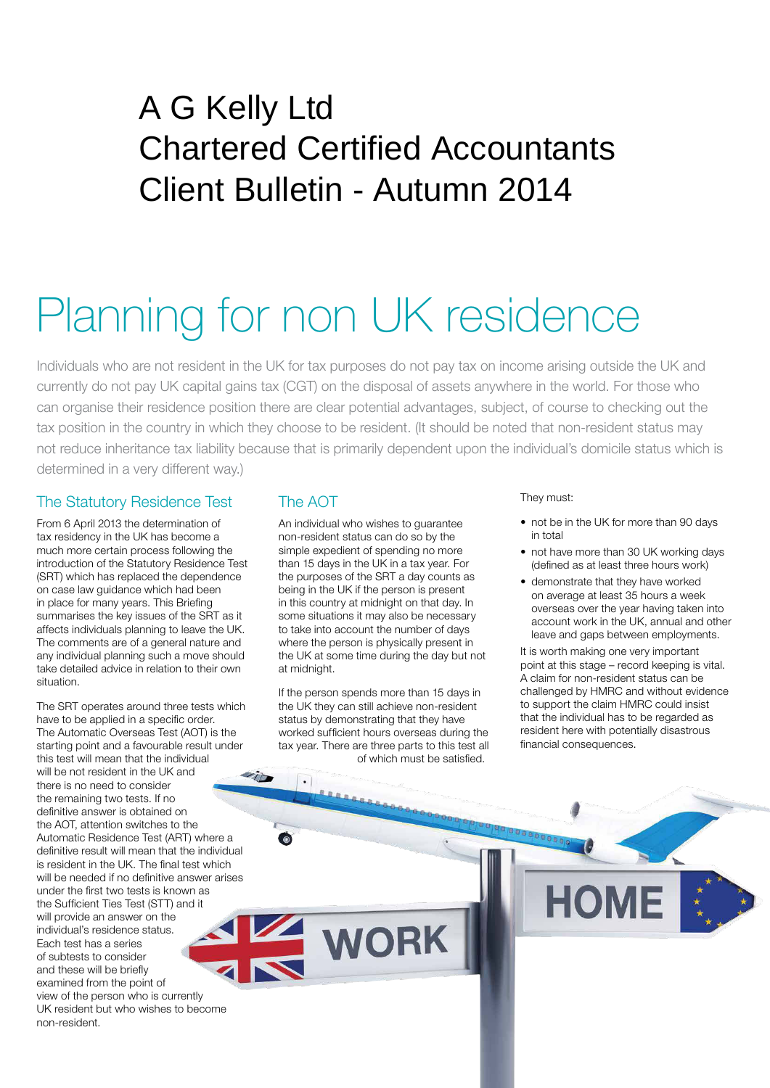# A G Kelly Ltd Chartered Certified Accountants Client Bulletin - Autumn 2014

# Planning for non UK residence

Individuals who are not resident in the UK for tax purposes do not pay tax on income arising outside the UK and currently do not pay UK capital gains tax (CGT) on the disposal of assets anywhere in the world. For those who can organise their residence position there are clear potential advantages, subject, of course to checking out the tax position in the country in which they choose to be resident. (It should be noted that non-resident status may not reduce inheritance tax liability because that is primarily dependent upon the individual's domicile status which is determined in a very different way.)

## The Statutory Residence Test

From 6 April 2013 the determination of tax residency in the UK has become a much more certain process following the introduction of the Statutory Residence Test (SRT) which has replaced the dependence on case law guidance which had been in place for many years. This Briefing summarises the key issues of the SRT as it affects individuals planning to leave the UK. The comments are of a general nature and any individual planning such a move should take detailed advice in relation to their own situation.

The SRT operates around three tests which have to be applied in a specific order. The Automatic Overseas Test (AOT) is the starting point and a favourable result under this test will mean that the individual will be not resident in the UK and  $\mathcal{L}_{ID}$ there is no need to consider the remaining two tests. If no definitive answer is obtained on the AOT, attention switches to the Automatic Residence Test (ART) where a definitive result will mean that the individual is resident in the UK. The final test which will be needed if no definitive answer arises under the first two tests is known as the Sufficient Ties Test (STT) and it will provide an answer on the individual's residence status. Each test has a series of subtests to consider and these will be briefly examined from the point of view of the person who is currently UK resident but who wishes to become non-resident.

# The AOT

An individual who wishes to guarantee non-resident status can do so by the simple expedient of spending no more than 15 days in the UK in a tax year. For the purposes of the SRT a day counts as being in the UK if the person is present in this country at midnight on that day. In some situations it may also be necessary to take into account the number of days where the person is physically present in the UK at some time during the day but not at midnight.

If the person spends more than 15 days in the UK they can still achieve non-resident status by demonstrating that they have worked sufficient hours overseas during the tax year. There are three parts to this test all of which must be satisfied.

#### They must:

- not be in the UK for more than 90 days in total
- not have more than 30 UK working days (defined as at least three hours work)
- demonstrate that they have worked on average at least 35 hours a week overseas over the year having taken into account work in the UK, annual and other leave and gaps between employments.

It is worth making one very important point at this stage – record keeping is vital. A claim for non-resident status can be challenged by HMRC and without evidence to support the claim HMRC could insist that the individual has to be regarded as resident here with potentially disastrous financial consequences.

**WORK**